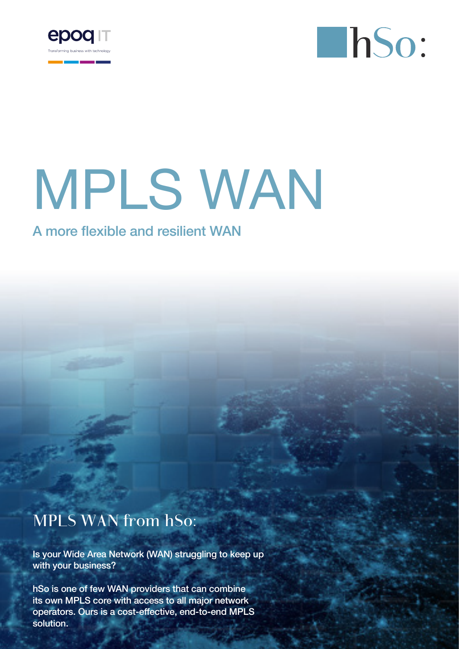



# MPLS WAN

## A more flexible and resilient WAN

## MPLS WAN from hSo:

Is your Wide Area Network (WAN) struggling to keep up with your business?

hSo is one of few WAN providers that can combine its own MPLS core with access to all major network operators. Ours is a cost-effective, end-to-end MPLS solution.